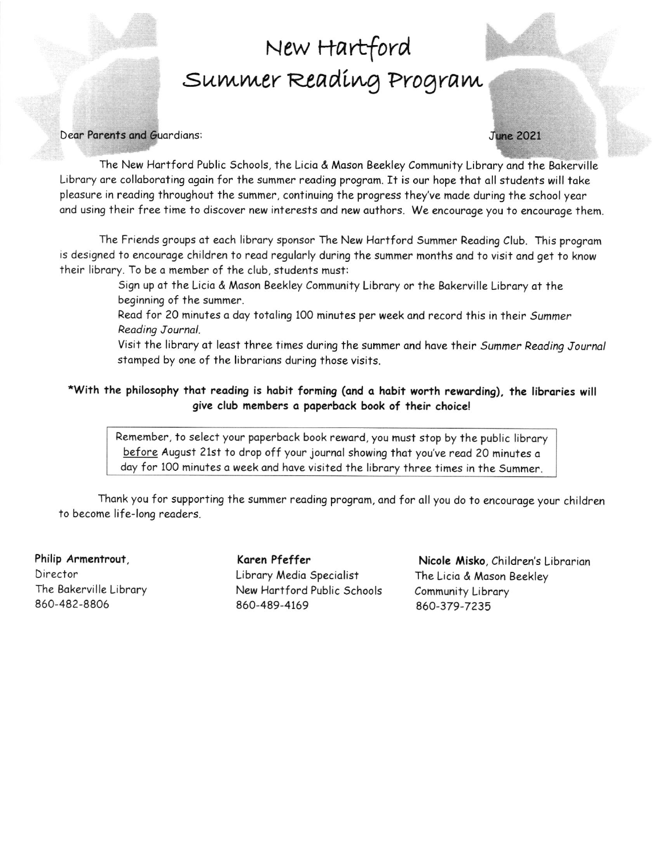## New Hartford Summer Reading Program 3

Dear Parents and Guardians:

**June 2021** 

The New Hartford Public Schools, the Licia & Mason Beekley Community Library and the Bakerville Library are collaborating again for the summer reading program. It is our hope that all students will take pleasure in reading throughout the summer, continuing the progress they've made during the school year and using their free time to discover new interests and new authors. We encourage you to encourage them.

The Friends groups at each library sponsor The New Hartford Summer Reading Club. This program is designed to encourage children to read regularly during the summer months and to visit and get to know their library. To be a member of the club, students must:

> Sign up ot the Licia & Moson Beekley Community Librory or the Bokerville Library at the beginning of the summer.

Read for 20 minutes a day totaling 100 minutes per week and record this in their Summer Reading Journal.

Visit the library at least three times during the summer and have their Summer Reading Journal stamped by one of the librarians during those visits.

#### \*With the philosophy that reading is habit forming (and a habit worth rewarding), the libraries will give club members a paperback book of their choice!

Remember, to select your paperback book reward, you must stop by the public library before August 21st to drop off your journal showing that you've read 20 minutes a day for 100 minutes a week and have visited the library three times in the Summer.

Thank you for supporting the summer reading program, and for all you do to encourage your children to become life-long readers.

Philip Armentrouf, Director The Bokerville Librory 860-482-8806

Karen Pfeffer Library Media Specialist New Hortford Public Schools 860-489-4169

Nicole Misko, Children's Librarian The Licio & Moson Beekley Community Librory 860-379-7235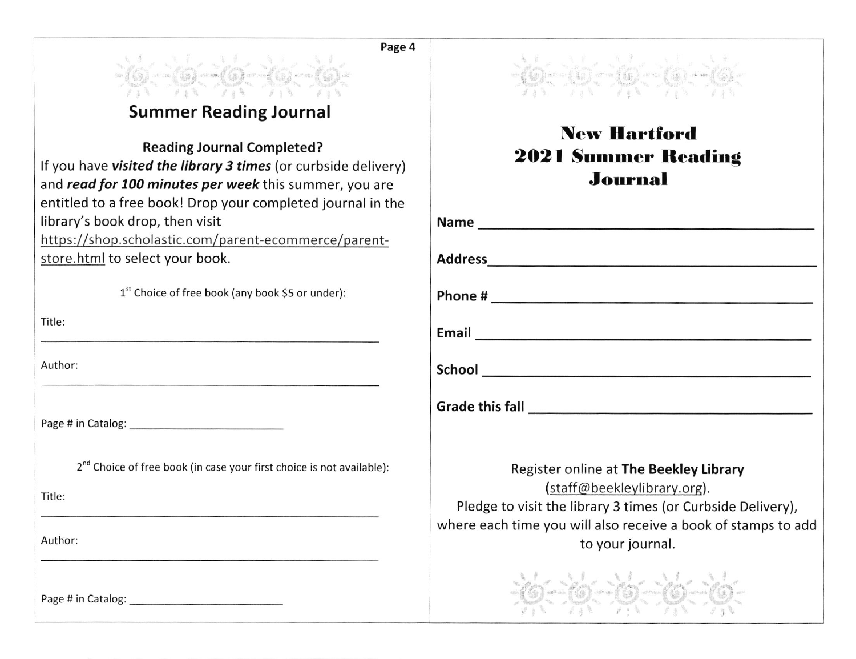| Page |  |
|------|--|
|------|--|

## Summer Reading Journa!

Reading Journal Completed?

If you have visited the library 3 times (or curbside delivery) and read for 100 minutes per week this summer, you are entitled to a free book! Drop your completed journal in the library's book drop, then visit

https://shop.scholastic.com/parent-ecommerce/parentstore.html to select your book.

 $1<sup>st</sup>$  Choice of free book (any book \$5 or under):

Title

Author:

Page # in Catalog

2<sup>nd</sup> Choice of free book (in case your first choice is not available):

Title

Author:

Page S in Catalog

| and a family of the state of the state of the state of the state of the state of the state of the state of the<br><b>New Hartford</b><br>2021 Summer Reading<br>Journal                               |
|-------------------------------------------------------------------------------------------------------------------------------------------------------------------------------------------------------|
|                                                                                                                                                                                                       |
|                                                                                                                                                                                                       |
|                                                                                                                                                                                                       |
|                                                                                                                                                                                                       |
|                                                                                                                                                                                                       |
|                                                                                                                                                                                                       |
| Register online at The Beekley Library<br>(staff@beekleylibrary.org).<br>Pledge to visit the library 3 times (or Curbside Delivery),<br>where each time you will also receive a book of stamps to add |

to your journal.